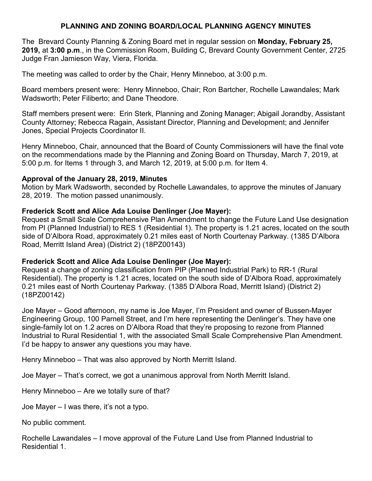# **PLANNING AND ZONING BOARD/LOCAL PLANNING AGENCY MINUTES**

The Brevard County Planning & Zoning Board met in regular session on **Monday, February 25, 2019,** at **3:00 p.m**., in the Commission Room, Building C, Brevard County Government Center, 2725 Judge Fran Jamieson Way, Viera, Florida.

The meeting was called to order by the Chair, Henry Minneboo, at 3:00 p.m.

Board members present were: Henry Minneboo, Chair; Ron Bartcher, Rochelle Lawandales; Mark Wadsworth; Peter Filiberto; and Dane Theodore.

Staff members present were: Erin Sterk, Planning and Zoning Manager; Abigail Jorandby, Assistant County Attorney; Rebecca Ragain, Assistant Director, Planning and Development; and Jennifer Jones, Special Projects Coordinator II.

Henry Minneboo, Chair, announced that the Board of County Commissioners will have the final vote on the recommendations made by the Planning and Zoning Board on Thursday, March 7, 2019, at 5:00 p.m. for Items 1 through 3, and March 12, 2019, at 5:00 p.m. for Item 4.

### **Approval of the January 28, 2019, Minutes**

Motion by Mark Wadsworth, seconded by Rochelle Lawandales, to approve the minutes of January 28, 2019. The motion passed unanimously.

## **Frederick Scott and Alice Ada Louise Denlinger (Joe Mayer):**

Request a Small Scale Comprehensive Plan Amendment to change the Future Land Use designation from PI (Planned Industrial) to RES 1 (Residential 1). The property is 1.21 acres, located on the south side of D'Albora Road, approximately 0.21 miles east of North Courtenay Parkway. (1385 D'Albora Road, Merritt Island Area) (District 2) (18PZ00143)

### **Frederick Scott and Alice Ada Louise Denlinger (Joe Mayer):**

Request a change of zoning classification from PIP (Planned Industrial Park) to RR-1 (Rural Residential). The property is 1.21 acres, located on the south side of D'Albora Road, approximately 0.21 miles east of North Courtenay Parkway. (1385 D'Albora Road, Merritt Island) (District 2) (18PZ00142)

Joe Mayer – Good afternoon, my name is Joe Mayer, I'm President and owner of Bussen-Mayer Engineering Group, 100 Parnell Street, and I'm here representing the Denlinger's. They have one single-family lot on 1.2 acres on D'Albora Road that they're proposing to rezone from Planned Industrial to Rural Residential 1, with the associated Small Scale Comprehensive Plan Amendment. I'd be happy to answer any questions you may have.

Henry Minneboo – That was also approved by North Merritt Island.

Joe Mayer – That's correct, we got a unanimous approval from North Merritt Island.

Henry Minneboo – Are we totally sure of that?

Joe Mayer – I was there, it's not a typo.

No public comment.

Rochelle Lawandales – I move approval of the Future Land Use from Planned Industrial to Residential 1.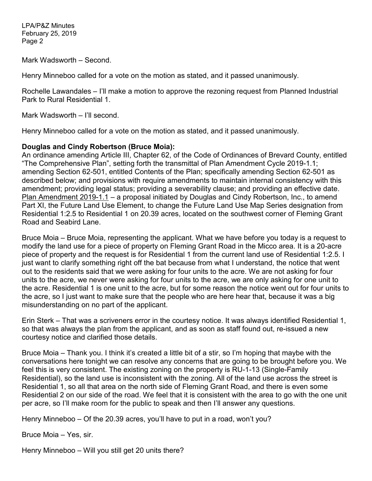Mark Wadsworth – Second.

Henry Minneboo called for a vote on the motion as stated, and it passed unanimously.

Rochelle Lawandales – I'll make a motion to approve the rezoning request from Planned Industrial Park to Rural Residential 1.

Mark Wadsworth – I'll second.

Henry Minneboo called for a vote on the motion as stated, and it passed unanimously.

### **Douglas and Cindy Robertson (Bruce Moia):**

An ordinance amending Article III, Chapter 62, of the Code of Ordinances of Brevard County, entitled "The Comprehensive Plan", setting forth the transmittal of Plan Amendment Cycle 2019-1.1; amending Section 62-501, entitled Contents of the Plan; specifically amending Section 62-501 as described below; and provisions with require amendments to maintain internal consistency with this amendment; providing legal status; providing a severability clause; and providing an effective date. Plan Amendment 2019-1.1 – a proposal initiated by Douglas and Cindy Robertson, Inc., to amend Part XI, the Future Land Use Element, to change the Future Land Use Map Series designation from Residential 1:2.5 to Residential 1 on 20.39 acres, located on the southwest corner of Fleming Grant Road and Seabird Lane.

Bruce Moia – Bruce Moia, representing the applicant. What we have before you today is a request to modify the land use for a piece of property on Fleming Grant Road in the Micco area. It is a 20-acre piece of property and the request is for Residential 1 from the current land use of Residential 1:2.5. I just want to clarify something right off the bat because from what I understand, the notice that went out to the residents said that we were asking for four units to the acre. We are not asking for four units to the acre, we never were asking for four units to the acre, we are only asking for one unit to the acre. Residential 1 is one unit to the acre, but for some reason the notice went out for four units to the acre, so I just want to make sure that the people who are here hear that, because it was a big misunderstanding on no part of the applicant.

Erin Sterk – That was a scriveners error in the courtesy notice. It was always identified Residential 1, so that was always the plan from the applicant, and as soon as staff found out, re-issued a new courtesy notice and clarified those details.

Bruce Moia – Thank you. I think it's created a little bit of a stir, so I'm hoping that maybe with the conversations here tonight we can resolve any concerns that are going to be brought before you. We feel this is very consistent. The existing zoning on the property is RU-1-13 (Single-Family Residential), so the land use is inconsistent with the zoning. All of the land use across the street is Residential 1, so all that area on the north side of Fleming Grant Road, and there is even some Residential 2 on our side of the road. We feel that it is consistent with the area to go with the one unit per acre, so I'll make room for the public to speak and then I'll answer any questions.

Henry Minneboo – Of the 20.39 acres, you'll have to put in a road, won't you?

Bruce Moia – Yes, sir.

Henry Minneboo – Will you still get 20 units there?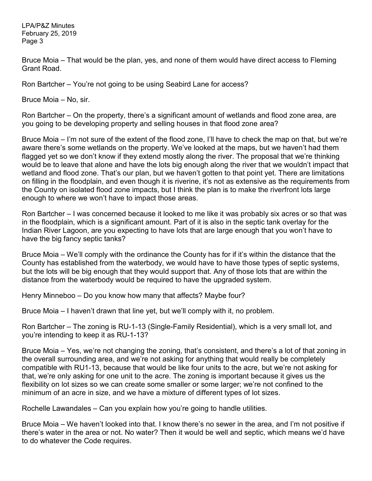Bruce Moia – That would be the plan, yes, and none of them would have direct access to Fleming Grant Road.

Ron Bartcher – You're not going to be using Seabird Lane for access?

Bruce Moia – No, sir.

Ron Bartcher – On the property, there's a significant amount of wetlands and flood zone area, are you going to be developing property and selling houses in that flood zone area?

Bruce Moia – I'm not sure of the extent of the flood zone, I'll have to check the map on that, but we're aware there's some wetlands on the property. We've looked at the maps, but we haven't had them flagged yet so we don't know if they extend mostly along the river. The proposal that we're thinking would be to leave that alone and have the lots big enough along the river that we wouldn't impact that wetland and flood zone. That's our plan, but we haven't gotten to that point yet. There are limitations on filling in the floodplain, and even though it is riverine, it's not as extensive as the requirements from the County on isolated flood zone impacts, but I think the plan is to make the riverfront lots large enough to where we won't have to impact those areas.

Ron Bartcher – I was concerned because it looked to me like it was probably six acres or so that was in the floodplain, which is a significant amount. Part of it is also in the septic tank overlay for the Indian River Lagoon, are you expecting to have lots that are large enough that you won't have to have the big fancy septic tanks?

Bruce Moia – We'll comply with the ordinance the County has for if it's within the distance that the County has established from the waterbody, we would have to have those types of septic systems, but the lots will be big enough that they would support that. Any of those lots that are within the distance from the waterbody would be required to have the upgraded system.

Henry Minneboo – Do you know how many that affects? Maybe four?

Bruce Moia – I haven't drawn that line yet, but we'll comply with it, no problem.

Ron Bartcher – The zoning is RU-1-13 (Single-Family Residential), which is a very small lot, and you're intending to keep it as RU-1-13?

Bruce Moia – Yes, we're not changing the zoning, that's consistent, and there's a lot of that zoning in the overall surrounding area, and we're not asking for anything that would really be completely compatible with RU1-13, because that would be like four units to the acre, but we're not asking for that, we're only asking for one unit to the acre. The zoning is important because it gives us the flexibility on lot sizes so we can create some smaller or some larger; we're not confined to the minimum of an acre in size, and we have a mixture of different types of lot sizes.

Rochelle Lawandales – Can you explain how you're going to handle utilities.

Bruce Moia – We haven't looked into that. I know there's no sewer in the area, and I'm not positive if there's water in the area or not. No water? Then it would be well and septic, which means we'd have to do whatever the Code requires.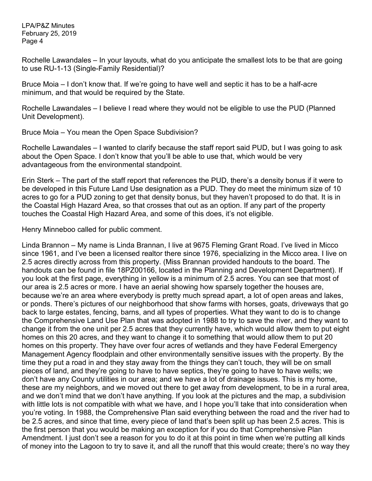Rochelle Lawandales – In your layouts, what do you anticipate the smallest lots to be that are going to use RU-1-13 (Single-Family Residential)?

Bruce Moia – I don't know that. If we're going to have well and septic it has to be a half-acre minimum, and that would be required by the State.

Rochelle Lawandales – I believe I read where they would not be eligible to use the PUD (Planned Unit Development).

Bruce Moia – You mean the Open Space Subdivision?

Rochelle Lawandales – I wanted to clarify because the staff report said PUD, but I was going to ask about the Open Space. I don't know that you'll be able to use that, which would be very advantageous from the environmental standpoint.

Erin Sterk – The part of the staff report that references the PUD, there's a density bonus if it were to be developed in this Future Land Use designation as a PUD. They do meet the minimum size of 10 acres to go for a PUD zoning to get that density bonus, but they haven't proposed to do that. It is in the Coastal High Hazard Area, so that crosses that out as an option. If any part of the property touches the Coastal High Hazard Area, and some of this does, it's not eligible.

Henry Minneboo called for public comment.

Linda Brannon – My name is Linda Brannan, I live at 9675 Fleming Grant Road. I've lived in Micco since 1961, and I've been a licensed realtor there since 1976, specializing in the Micco area. I live on 2.5 acres directly across from this property. (Miss Brannan provided handouts to the board. The handouts can be found in file 18PZ00166, located in the Planning and Development Department). If you look at the first page, everything in yellow is a minimum of 2.5 acres. You can see that most of our area is 2.5 acres or more. I have an aerial showing how sparsely together the houses are, because we're an area where everybody is pretty much spread apart, a lot of open areas and lakes, or ponds. There's pictures of our neighborhood that show farms with horses, goats, driveways that go back to large estates, fencing, barns, and all types of properties. What they want to do is to change the Comprehensive Land Use Plan that was adopted in 1988 to try to save the river, and they want to change it from the one unit per 2.5 acres that they currently have, which would allow them to put eight homes on this 20 acres, and they want to change it to something that would allow them to put 20 homes on this property. They have over four acres of wetlands and they have Federal Emergency Management Agency floodplain and other environmentally sensitive issues with the property. By the time they put a road in and they stay away from the things they can't touch, they will be on small pieces of land, and they're going to have to have septics, they're going to have to have wells; we don't have any County utilities in our area; and we have a lot of drainage issues. This is my home, these are my neighbors, and we moved out there to get away from development, to be in a rural area, and we don't mind that we don't have anything. If you look at the pictures and the map, a subdivision with little lots is not compatible with what we have, and I hope you'll take that into consideration when you're voting. In 1988, the Comprehensive Plan said everything between the road and the river had to be 2.5 acres, and since that time, every piece of land that's been split up has been 2.5 acres. This is the first person that you would be making an exception for if you do that Comprehensive Plan Amendment. I just don't see a reason for you to do it at this point in time when we're putting all kinds of money into the Lagoon to try to save it, and all the runoff that this would create; there's no way they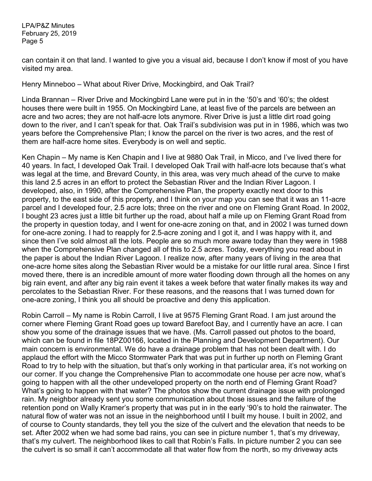can contain it on that land. I wanted to give you a visual aid, because I don't know if most of you have visited my area.

Henry Minneboo – What about River Drive, Mockingbird, and Oak Trail?

Linda Brannan – River Drive and Mockingbird Lane were put in in the '50's and '60's; the oldest houses there were built in 1955. On Mockingbird Lane, at least five of the parcels are between an acre and two acres; they are not half-acre lots anymore. River Drive is just a little dirt road going down to the river, and I can't speak for that. Oak Trail's subdivision was put in in 1986, which was two years before the Comprehensive Plan; I know the parcel on the river is two acres, and the rest of them are half-acre home sites. Everybody is on well and septic.

Ken Chapin – My name is Ken Chapin and I live at 9880 Oak Trail, in Micco, and I've lived there for 40 years. In fact, I developed Oak Trail. I developed Oak Trail with half-acre lots because that's what was legal at the time, and Brevard County, in this area, was very much ahead of the curve to make this land 2.5 acres in an effort to protect the Sebastian River and the Indian River Lagoon. I developed, also, in 1990, after the Comprehensive Plan, the property exactly next door to this property, to the east side of this property, and I think on your map you can see that it was an 11-acre parcel and I developed four, 2.5 acre lots; three on the river and one on Fleming Grant Road. In 2002, I bought 23 acres just a little bit further up the road, about half a mile up on Fleming Grant Road from the property in question today, and I went for one-acre zoning on that, and in 2002 I was turned down for one-acre zoning. I had to reapply for 2.5-acre zoning and I got it, and I was happy with it, and since then I've sold almost all the lots. People are so much more aware today than they were in 1988 when the Comprehensive Plan changed all of this to 2.5 acres. Today, everything you read about in the paper is about the Indian River Lagoon. I realize now, after many years of living in the area that one-acre home sites along the Sebastian River would be a mistake for our little rural area. Since I first moved there, there is an incredible amount of more water flooding down through all the homes on any big rain event, and after any big rain event it takes a week before that water finally makes its way and percolates to the Sebastian River. For these reasons, and the reasons that I was turned down for one-acre zoning, I think you all should be proactive and deny this application.

Robin Carroll – My name is Robin Carroll, I live at 9575 Fleming Grant Road. I am just around the corner where Fleming Grant Road goes up toward Barefoot Bay, and I currently have an acre. I can show you some of the drainage issues that we have. (Ms. Carroll passed out photos to the board, which can be found in file 18PZ00166, located in the Planning and Development Department). Our main concern is environmental. We do have a drainage problem that has not been dealt with. I do applaud the effort with the Micco Stormwater Park that was put in further up north on Fleming Grant Road to try to help with the situation, but that's only working in that particular area, it's not working on our corner. If you change the Comprehensive Plan to accommodate one house per acre now, what's going to happen with all the other undeveloped property on the north end of Fleming Grant Road? What's going to happen with that water? The photos show the current drainage issue with prolonged rain. My neighbor already sent you some communication about those issues and the failure of the retention pond on Wally Kramer's property that was put in in the early '90's to hold the rainwater. The natural flow of water was not an issue in the neighborhood until I built my house. I built in 2002, and of course to County standards, they tell you the size of the culvert and the elevation that needs to be set. After 2002 when we had some bad rains, you can see in picture number 1, that's my driveway, that's my culvert. The neighborhood likes to call that Robin's Falls. In picture number 2 you can see the culvert is so small it can't accommodate all that water flow from the north, so my driveway acts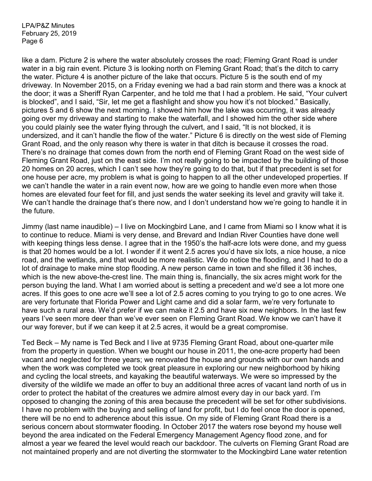like a dam. Picture 2 is where the water absolutely crosses the road; Fleming Grant Road is under water in a big rain event. Picture 3 is looking north on Fleming Grant Road; that's the ditch to carry the water. Picture 4 is another picture of the lake that occurs. Picture 5 is the south end of my driveway. In November 2015, on a Friday evening we had a bad rain storm and there was a knock at the door; it was a Sheriff Ryan Carpenter, and he told me that I had a problem. He said, "Your culvert is blocked", and I said, "Sir, let me get a flashlight and show you how it's not blocked." Basically, pictures 5 and 6 show the next morning. I showed him how the lake was occurring, it was already going over my driveway and starting to make the waterfall, and I showed him the other side where you could plainly see the water flying through the culvert, and I said, "It is not blocked, it is undersized, and it can't handle the flow of the water." Picture 6 is directly on the west side of Fleming Grant Road, and the only reason why there is water in that ditch is because it crosses the road. There's no drainage that comes down from the north end of Fleming Grant Road on the west side of Fleming Grant Road, just on the east side. I'm not really going to be impacted by the building of those 20 homes on 20 acres, which I can't see how they're going to do that, but if that precedent is set for one house per acre, my problem is what is going to happen to all the other undeveloped properties. If we can't handle the water in a rain event now, how are we going to handle even more when those homes are elevated four feet for fill, and just sends the water seeking its level and gravity will take it. We can't handle the drainage that's there now, and I don't understand how we're going to handle it in the future.

Jimmy (last name inaudible) – I live on Mockingbird Lane, and I came from Miami so I know what it is to continue to reduce. Miami is very dense, and Brevard and Indian River Counties have done well with keeping things less dense. I agree that in the 1950's the half-acre lots were done, and my guess is that 20 homes would be a lot. I wonder if it went 2.5 acres you'd have six lots, a nice house, a nice road, and the wetlands, and that would be more realistic. We do notice the flooding, and I had to do a lot of drainage to make mine stop flooding. A new person came in town and she filled it 36 inches, which is the new above-the-crest line. The main thing is, financially, the six acres might work for the person buying the land. What I am worried about is setting a precedent and we'd see a lot more one acres. If this goes to one acre we'll see a lot of 2.5 acres coming to you trying to go to one acres. We are very fortunate that Florida Power and Light came and did a solar farm, we're very fortunate to have such a rural area. We'd prefer if we can make it 2.5 and have six new neighbors. In the last few years I've seen more deer than we've ever seen on Fleming Grant Road. We know we can't have it our way forever, but if we can keep it at 2.5 acres, it would be a great compromise.

Ted Beck – My name is Ted Beck and I live at 9735 Fleming Grant Road, about one-quarter mile from the property in question. When we bought our house in 2011, the one-acre property had been vacant and neglected for three years; we renovated the house and grounds with our own hands and when the work was completed we took great pleasure in exploring our new neighborhood by hiking and cycling the local streets, and kayaking the beautiful waterways. We were so impressed by the diversity of the wildlife we made an offer to buy an additional three acres of vacant land north of us in order to protect the habitat of the creatures we admire almost every day in our back yard. I'm opposed to changing the zoning of this area because the precedent will be set for other subdivisions. I have no problem with the buying and selling of land for profit, but I do feel once the door is opened, there will be no end to adherence about this issue. On my side of Fleming Grant Road there is a serious concern about stormwater flooding. In October 2017 the waters rose beyond my house well beyond the area indicated on the Federal Emergency Management Agency flood zone, and for almost a year we feared the level would reach our backdoor. The culverts on Fleming Grant Road are not maintained properly and are not diverting the stormwater to the Mockingbird Lane water retention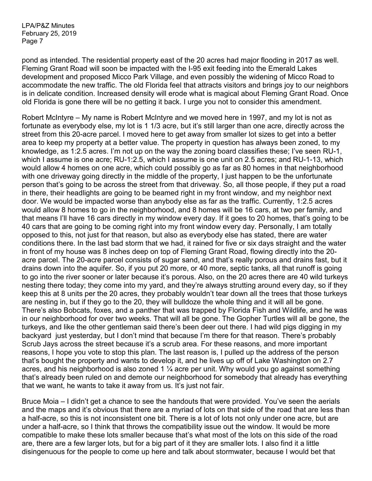pond as intended. The residential property east of the 20 acres had major flooding in 2017 as well. Fleming Grant Road will soon be impacted with the I-95 exit feeding into the Emerald Lakes development and proposed Micco Park Village, and even possibly the widening of Micco Road to accommodate the new traffic. The old Florida feel that attracts visitors and brings joy to our neighbors is in delicate condition. Increased density will erode what is magical about Fleming Grant Road. Once old Florida is gone there will be no getting it back. I urge you not to consider this amendment.

Robert McIntyre – My name is Robert McIntyre and we moved here in 1997, and my lot is not as fortunate as everybody else, my lot is 1 1/3 acre, but it's still larger than one acre, directly across the street from this 20-acre parcel. I moved here to get away from smaller lot sizes to get into a better area to keep my property at a better value. The property in question has always been zoned, to my knowledge, as 1:2.5 acres. I'm not up on the way the zoning board classifies these; I've seen RU-1, which I assume is one acre; RU-1:2.5, which I assume is one unit on 2.5 acres; and RU-1-13, which would allow 4 homes on one acre, which could possibly go as far as 80 homes in that neighborhood with one driveway going directly in the middle of the property, I just happen to be the unfortunate person that's going to be across the street from that driveway. So, all those people, if they put a road in there, their headlights are going to be beamed right in my front window, and my neighbor next door. We would be impacted worse than anybody else as far as the traffic. Currently, 1:2.5 acres would allow 8 homes to go in the neighborhood, and 8 homes will be 16 cars, at two per family, and that means I'll have 16 cars directly in my window every day. If it goes to 20 homes, that's going to be 40 cars that are going to be coming right into my front window every day. Personally, I am totally opposed to this, not just for that reason, but also as everybody else has stated, there are water conditions there. In the last bad storm that we had, it rained for five or six days straight and the water in front of my house was 8 inches deep on top of Fleming Grant Road, flowing directly into the 20 acre parcel. The 20-acre parcel consists of sugar sand, and that's really porous and drains fast, but it drains down into the aquifer. So, if you put 20 more, or 40 more, septic tanks, all that runoff is going to go into the river sooner or later because it's porous. Also, on the 20 acres there are 40 wild turkeys nesting there today; they come into my yard, and they're always strutting around every day, so if they keep this at 8 units per the 20 acres, they probably wouldn't tear down all the trees that those turkeys are nesting in, but if they go to the 20, they will bulldoze the whole thing and it will all be gone. There's also Bobcats, foxes, and a panther that was trapped by Florida Fish and Wildlife, and he was in our neighborhood for over two weeks. That will all be gone. The Gopher Turtles will all be gone, the turkeys, and like the other gentleman said there's been deer out there. I had wild pigs digging in my backyard just yesterday, but I don't mind that because I'm there for that reason. There's probably Scrub Jays across the street because it's a scrub area. For these reasons, and more important reasons, I hope you vote to stop this plan. The last reason is, I pulled up the address of the person that's bought the property and wants to develop it, and he lives up off of Lake Washington on 2.7 acres, and his neighborhood is also zoned 1  $\frac{1}{4}$  acre per unit. Why would you go against something that's already been ruled on and demote our neighborhood for somebody that already has everything that we want, he wants to take it away from us. It's just not fair.

Bruce Moia – I didn't get a chance to see the handouts that were provided. You've seen the aerials and the maps and it's obvious that there are a myriad of lots on that side of the road that are less than a half-acre, so this is not inconsistent one bit. There is a lot of lots not only under one acre, but are under a half-acre, so I think that throws the compatibility issue out the window. It would be more compatible to make these lots smaller because that's what most of the lots on this side of the road are, there are a few larger lots, but for a big part of it they are smaller lots. I also find it a little disingenuous for the people to come up here and talk about stormwater, because I would bet that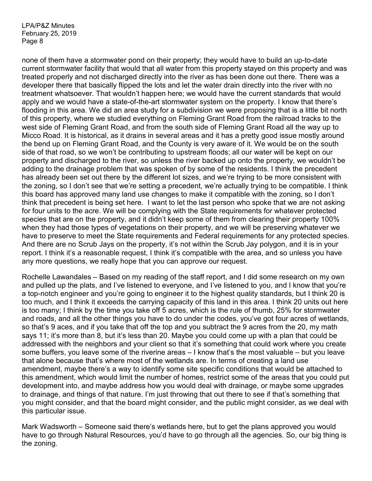none of them have a stormwater pond on their property; they would have to build an up-to-date current stormwater facility that would that all water from this property stayed on this property and was treated properly and not discharged directly into the river as has been done out there. There was a developer there that basically flipped the lots and let the water drain directly into the river with no treatment whatsoever. That wouldn't happen here; we would have the current standards that would apply and we would have a state-of-the-art stormwater system on the property. I know that there's flooding in this area. We did an area study for a subdivision we were proposing that is a little bit north of this property, where we studied everything on Fleming Grant Road from the railroad tracks to the west side of Fleming Grant Road, and from the south side of Fleming Grant Road all the way up to Micco Road. It is historical, as it drains in several areas and it has a pretty good issue mostly around the bend up on Fleming Grant Road, and the County is very aware of it. We would be on the south side of that road, so we won't be contributing to upstream floods; all our water will be kept on our property and discharged to the river, so unless the river backed up onto the property, we wouldn't be adding to the drainage problem that was spoken of by some of the residents. I think the precedent has already been set out there by the different lot sizes, and we're trying to be more consistent with the zoning, so I don't see that we're setting a precedent, we're actually trying to be compatible. I think this board has approved many land use changes to make it compatible with the zoning, so I don't think that precedent is being set here. I want to let the last person who spoke that we are not asking for four units to the acre. We will be complying with the State requirements for whatever protected species that are on the property, and it didn't keep some of them from clearing their property 100% when they had those types of vegetations on their property, and we will be preserving whatever we have to preserve to meet the State requirements and Federal requirements for any protected species. And there are no Scrub Jays on the property, it's not within the Scrub Jay polygon, and it is in your report. I think it's a reasonable request, I think it's compatible with the area, and so unless you have any more questions, we really hope that you can approve our request.

Rochelle Lawandales – Based on my reading of the staff report, and I did some research on my own and pulled up the plats, and I've listened to everyone, and I've listened to you, and I know that you're a top-notch engineer and you're going to engineer it to the highest quality standards, but I think 20 is too much, and I think it exceeds the carrying capacity of this land in this area. I think 20 units out here is too many; I think by the time you take off 5 acres, which is the rule of thumb, 25% for stormwater and roads, and all the other things you have to do under the codes, you've got four acres of wetlands, so that's 9 aces, and if you take that off the top and you subtract the 9 acres from the 20, my math says 11; it's more than 8, but it's less than 20. Maybe you could come up with a plan that could be addressed with the neighbors and your client so that it's something that could work where you create some buffers, you leave some of the riverine areas – I know that's the most valuable – but you leave that alone because that's where most of the wetlands are. In terms of creating a land use amendment, maybe there's a way to identify some site specific conditions that would be attached to this amendment, which would limit the number of homes, restrict some of the areas that you could put development into, and maybe address how you would deal with drainage, or maybe some upgrades to drainage, and things of that nature. I'm just throwing that out there to see if that's something that you might consider, and that the board might consider, and the public might consider, as we deal with this particular issue.

Mark Wadsworth – Someone said there's wetlands here, but to get the plans approved you would have to go through Natural Resources, you'd have to go through all the agencies. So, our big thing is the zoning.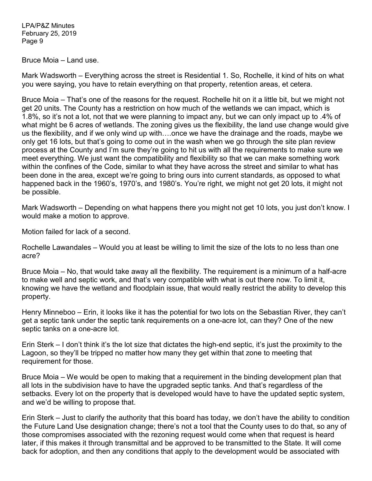Bruce Moia – Land use.

Mark Wadsworth – Everything across the street is Residential 1. So, Rochelle, it kind of hits on what you were saying, you have to retain everything on that property, retention areas, et cetera.

Bruce Moia – That's one of the reasons for the request. Rochelle hit on it a little bit, but we might not get 20 units. The County has a restriction on how much of the wetlands we can impact, which is 1.8%, so it's not a lot, not that we were planning to impact any, but we can only impact up to .4% of what might be 6 acres of wetlands. The zoning gives us the flexibility, the land use change would give us the flexibility, and if we only wind up with….once we have the drainage and the roads, maybe we only get 16 lots, but that's going to come out in the wash when we go through the site plan review process at the County and I'm sure they're going to hit us with all the requirements to make sure we meet everything. We just want the compatibility and flexibility so that we can make something work within the confines of the Code, similar to what they have across the street and similar to what has been done in the area, except we're going to bring ours into current standards, as opposed to what happened back in the 1960's, 1970's, and 1980's. You're right, we might not get 20 lots, it might not be possible.

Mark Wadsworth – Depending on what happens there you might not get 10 lots, you just don't know. I would make a motion to approve.

Motion failed for lack of a second.

Rochelle Lawandales – Would you at least be willing to limit the size of the lots to no less than one acre?

Bruce Moia – No, that would take away all the flexibility. The requirement is a minimum of a half-acre to make well and septic work, and that's very compatible with what is out there now. To limit it, knowing we have the wetland and floodplain issue, that would really restrict the ability to develop this property.

Henry Minneboo – Erin, it looks like it has the potential for two lots on the Sebastian River, they can't get a septic tank under the septic tank requirements on a one-acre lot, can they? One of the new septic tanks on a one-acre lot.

Erin Sterk – I don't think it's the lot size that dictates the high-end septic, it's just the proximity to the Lagoon, so they'll be tripped no matter how many they get within that zone to meeting that requirement for those.

Bruce Moia – We would be open to making that a requirement in the binding development plan that all lots in the subdivision have to have the upgraded septic tanks. And that's regardless of the setbacks. Every lot on the property that is developed would have to have the updated septic system, and we'd be willing to propose that.

Erin Sterk – Just to clarify the authority that this board has today, we don't have the ability to condition the Future Land Use designation change; there's not a tool that the County uses to do that, so any of those compromises associated with the rezoning request would come when that request is heard later, if this makes it through transmittal and be approved to be transmitted to the State. It will come back for adoption, and then any conditions that apply to the development would be associated with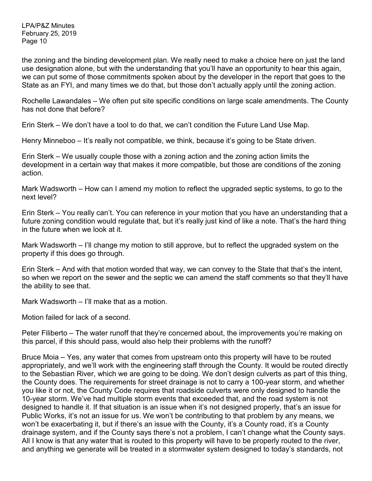the zoning and the binding development plan. We really need to make a choice here on just the land use designation alone, but with the understanding that you'll have an opportunity to hear this again, we can put some of those commitments spoken about by the developer in the report that goes to the State as an FYI, and many times we do that, but those don't actually apply until the zoning action.

Rochelle Lawandales – We often put site specific conditions on large scale amendments. The County has not done that before?

Erin Sterk – We don't have a tool to do that, we can't condition the Future Land Use Map.

Henry Minneboo – It's really not compatible, we think, because it's going to be State driven.

Erin Sterk – We usually couple those with a zoning action and the zoning action limits the development in a certain way that makes it more compatible, but those are conditions of the zoning action.

Mark Wadsworth – How can I amend my motion to reflect the upgraded septic systems, to go to the next level?

Erin Sterk – You really can't. You can reference in your motion that you have an understanding that a future zoning condition would regulate that, but it's really just kind of like a note. That's the hard thing in the future when we look at it.

Mark Wadsworth – I'll change my motion to still approve, but to reflect the upgraded system on the property if this does go through.

Erin Sterk – And with that motion worded that way, we can convey to the State that that's the intent, so when we report on the sewer and the septic we can amend the staff comments so that they'll have the ability to see that.

Mark Wadsworth – I'll make that as a motion.

Motion failed for lack of a second.

Peter Filiberto – The water runoff that they're concerned about, the improvements you're making on this parcel, if this should pass, would also help their problems with the runoff?

Bruce Moia – Yes, any water that comes from upstream onto this property will have to be routed appropriately, and we'll work with the engineering staff through the County. It would be routed directly to the Sebastian River, which we are going to be doing. We don't design culverts as part of this thing, the County does. The requirements for street drainage is not to carry a 100-year storm, and whether you like it or not, the County Code requires that roadside culverts were only designed to handle the 10-year storm. We've had multiple storm events that exceeded that, and the road system is not designed to handle it. If that situation is an issue when it's not designed properly, that's an issue for Public Works, it's not an issue for us. We won't be contributing to that problem by any means, we won't be exacerbating it, but if there's an issue with the County, it's a County road, it's a County drainage system, and if the County says there's not a problem, I can't change what the County says. All I know is that any water that is routed to this property will have to be properly routed to the river, and anything we generate will be treated in a stormwater system designed to today's standards, not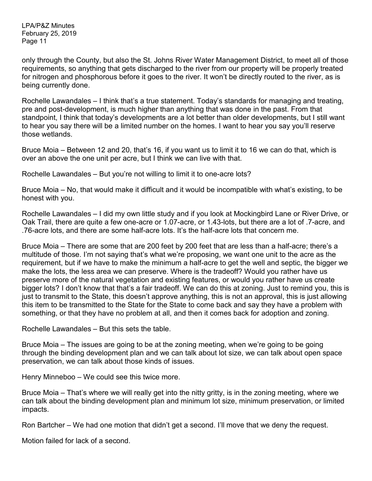only through the County, but also the St. Johns River Water Management District, to meet all of those requirements, so anything that gets discharged to the river from our property will be properly treated for nitrogen and phosphorous before it goes to the river. It won't be directly routed to the river, as is being currently done.

Rochelle Lawandales – I think that's a true statement. Today's standards for managing and treating, pre and post-development, is much higher than anything that was done in the past. From that standpoint, I think that today's developments are a lot better than older developments, but I still want to hear you say there will be a limited number on the homes. I want to hear you say you'll reserve those wetlands.

Bruce Moia – Between 12 and 20, that's 16, if you want us to limit it to 16 we can do that, which is over an above the one unit per acre, but I think we can live with that.

Rochelle Lawandales – But you're not willing to limit it to one-acre lots?

Bruce Moia – No, that would make it difficult and it would be incompatible with what's existing, to be honest with you.

Rochelle Lawandales – I did my own little study and if you look at Mockingbird Lane or River Drive, or Oak Trail, there are quite a few one-acre or 1.07-acre, or 1.43-lots, but there are a lot of .7-acre, and .76-acre lots, and there are some half-acre lots. It's the half-acre lots that concern me.

Bruce Moia – There are some that are 200 feet by 200 feet that are less than a half-acre; there's a multitude of those. I'm not saying that's what we're proposing, we want one unit to the acre as the requirement, but if we have to make the minimum a half-acre to get the well and septic, the bigger we make the lots, the less area we can preserve. Where is the tradeoff? Would you rather have us preserve more of the natural vegetation and existing features, or would you rather have us create bigger lots? I don't know that that's a fair tradeoff. We can do this at zoning. Just to remind you, this is just to transmit to the State, this doesn't approve anything, this is not an approval, this is just allowing this item to be transmitted to the State for the State to come back and say they have a problem with something, or that they have no problem at all, and then it comes back for adoption and zoning.

Rochelle Lawandales – But this sets the table.

Bruce Moia – The issues are going to be at the zoning meeting, when we're going to be going through the binding development plan and we can talk about lot size, we can talk about open space preservation, we can talk about those kinds of issues.

Henry Minneboo – We could see this twice more.

Bruce Moia – That's where we will really get into the nitty gritty, is in the zoning meeting, where we can talk about the binding development plan and minimum lot size, minimum preservation, or limited impacts.

Ron Bartcher – We had one motion that didn't get a second. I'll move that we deny the request.

Motion failed for lack of a second.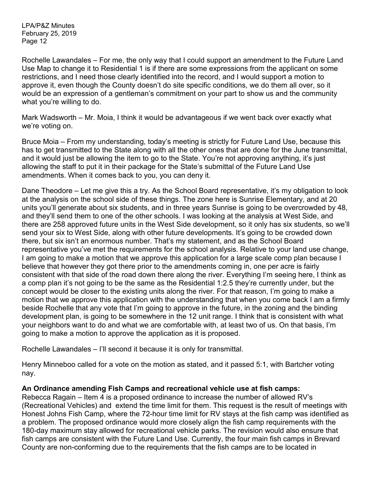Rochelle Lawandales – For me, the only way that I could support an amendment to the Future Land Use Map to change it to Residential 1 is if there are some expressions from the applicant on some restrictions, and I need those clearly identified into the record, and I would support a motion to approve it, even though the County doesn't do site specific conditions, we do them all over, so it would be an expression of a gentleman's commitment on your part to show us and the community what you're willing to do.

Mark Wadsworth – Mr. Moia, I think it would be advantageous if we went back over exactly what we're voting on.

Bruce Moia – From my understanding, today's meeting is strictly for Future Land Use, because this has to get transmitted to the State along with all the other ones that are done for the June transmittal, and it would just be allowing the item to go to the State. You're not approving anything, it's just allowing the staff to put it in their package for the State's submittal of the Future Land Use amendments. When it comes back to you, you can deny it.

Dane Theodore – Let me give this a try. As the School Board representative, it's my obligation to look at the analysis on the school side of these things. The zone here is Sunrise Elementary, and at 20 units you'll generate about six students, and in three years Sunrise is going to be overcrowded by 48, and they'll send them to one of the other schools. I was looking at the analysis at West Side, and there are 258 approved future units in the West Side development, so it only has six students, so we'll send your six to West Side, along with other future developments. It's going to be crowded down there, but six isn't an enormous number. That's my statement, and as the School Board representative you've met the requirements for the school analysis. Relative to your land use change, I am going to make a motion that we approve this application for a large scale comp plan because I believe that however they got there prior to the amendments coming in, one per acre is fairly consistent with that side of the road down there along the river. Everything I'm seeing here, I think as a comp plan it's not going to be the same as the Residential 1:2.5 they're currently under, but the concept would be closer to the existing units along the river. For that reason, I'm going to make a motion that we approve this application with the understanding that when you come back I am a firmly beside Rochelle that any vote that I'm going to approve in the future, in the zoning and the binding development plan, is going to be somewhere in the 12 unit range. I think that is consistent with what your neighbors want to do and what we are comfortable with, at least two of us. On that basis, I'm going to make a motion to approve the application as it is proposed.

Rochelle Lawandales – I'll second it because it is only for transmittal.

Henry Minneboo called for a vote on the motion as stated, and it passed 5:1, with Bartcher voting nay.

### **An Ordinance amending Fish Camps and recreational vehicle use at fish camps:**

Rebecca Ragain – Item 4 is a proposed ordinance to increase the number of allowed RV's (Recreational Vehicles) and extend the time limit for them. This request is the result of meetings with Honest Johns Fish Camp, where the 72-hour time limit for RV stays at the fish camp was identified as a problem. The proposed ordinance would more closely align the fish camp requirements with the 180-day maximum stay allowed for recreational vehicle parks. The revision would also ensure that fish camps are consistent with the Future Land Use. Currently, the four main fish camps in Brevard County are non-conforming due to the requirements that the fish camps are to be located in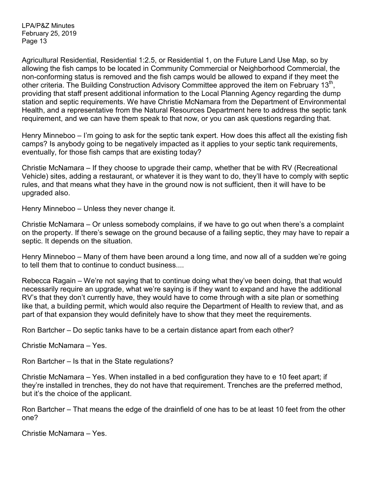Agricultural Residential, Residential 1:2.5, or Residential 1, on the Future Land Use Map, so by allowing the fish camps to be located in Community Commercial or Neighborhood Commercial, the non-conforming status is removed and the fish camps would be allowed to expand if they meet the other criteria. The Building Construction Advisory Committee approved the item on February 13<sup>th</sup>, providing that staff present additional information to the Local Planning Agency regarding the dump station and septic requirements. We have Christie McNamara from the Department of Environmental Health, and a representative from the Natural Resources Department here to address the septic tank requirement, and we can have them speak to that now, or you can ask questions regarding that.

Henry Minneboo – I'm going to ask for the septic tank expert. How does this affect all the existing fish camps? Is anybody going to be negatively impacted as it applies to your septic tank requirements, eventually, for those fish camps that are existing today?

Christie McNamara – If they choose to upgrade their camp, whether that be with RV (Recreational Vehicle) sites, adding a restaurant, or whatever it is they want to do, they'll have to comply with septic rules, and that means what they have in the ground now is not sufficient, then it will have to be upgraded also.

Henry Minneboo – Unless they never change it.

Christie McNamara – Or unless somebody complains, if we have to go out when there's a complaint on the property. If there's sewage on the ground because of a failing septic, they may have to repair a septic. It depends on the situation.

Henry Minneboo – Many of them have been around a long time, and now all of a sudden we're going to tell them that to continue to conduct business....

Rebecca Ragain – We're not saying that to continue doing what they've been doing, that that would necessarily require an upgrade, what we're saying is if they want to expand and have the additional RV's that they don't currently have, they would have to come through with a site plan or something like that, a building permit, which would also require the Department of Health to review that, and as part of that expansion they would definitely have to show that they meet the requirements.

Ron Bartcher – Do septic tanks have to be a certain distance apart from each other?

Christie McNamara – Yes.

Ron Bartcher – Is that in the State regulations?

Christie McNamara – Yes. When installed in a bed configuration they have to e 10 feet apart; if they're installed in trenches, they do not have that requirement. Trenches are the preferred method, but it's the choice of the applicant.

Ron Bartcher – That means the edge of the drainfield of one has to be at least 10 feet from the other one?

Christie McNamara – Yes.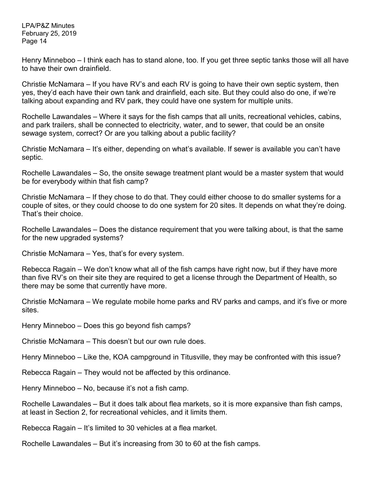Henry Minneboo – I think each has to stand alone, too. If you get three septic tanks those will all have to have their own drainfield.

Christie McNamara – If you have RV's and each RV is going to have their own septic system, then yes, they'd each have their own tank and drainfield, each site. But they could also do one, if we're talking about expanding and RV park, they could have one system for multiple units.

Rochelle Lawandales – Where it says for the fish camps that all units, recreational vehicles, cabins, and park trailers, shall be connected to electricity, water, and to sewer, that could be an onsite sewage system, correct? Or are you talking about a public facility?

Christie McNamara – It's either, depending on what's available. If sewer is available you can't have septic.

Rochelle Lawandales – So, the onsite sewage treatment plant would be a master system that would be for everybody within that fish camp?

Christie McNamara – If they chose to do that. They could either choose to do smaller systems for a couple of sites, or they could choose to do one system for 20 sites. It depends on what they're doing. That's their choice.

Rochelle Lawandales – Does the distance requirement that you were talking about, is that the same for the new upgraded systems?

Christie McNamara – Yes, that's for every system.

Rebecca Ragain – We don't know what all of the fish camps have right now, but if they have more than five RV's on their site they are required to get a license through the Department of Health, so there may be some that currently have more.

Christie McNamara – We regulate mobile home parks and RV parks and camps, and it's five or more sites.

Henry Minneboo – Does this go beyond fish camps?

Christie McNamara – This doesn't but our own rule does.

Henry Minneboo – Like the, KOA campground in Titusville, they may be confronted with this issue?

Rebecca Ragain – They would not be affected by this ordinance.

Henry Minneboo – No, because it's not a fish camp.

Rochelle Lawandales – But it does talk about flea markets, so it is more expansive than fish camps, at least in Section 2, for recreational vehicles, and it limits them.

Rebecca Ragain – It's limited to 30 vehicles at a flea market.

Rochelle Lawandales – But it's increasing from 30 to 60 at the fish camps.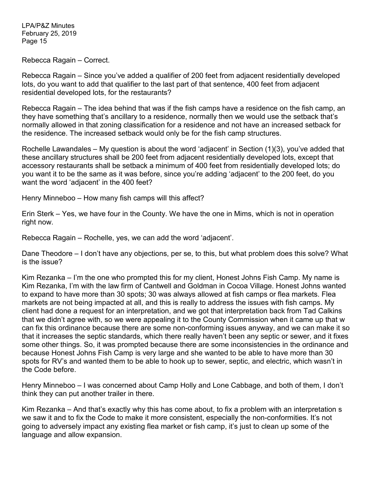Rebecca Ragain – Correct.

Rebecca Ragain – Since you've added a qualifier of 200 feet from adjacent residentially developed lots, do you want to add that qualifier to the last part of that sentence, 400 feet from adjacent residential developed lots, for the restaurants?

Rebecca Ragain – The idea behind that was if the fish camps have a residence on the fish camp, an they have something that's ancillary to a residence, normally then we would use the setback that's normally allowed in that zoning classification for a residence and not have an increased setback for the residence. The increased setback would only be for the fish camp structures.

Rochelle Lawandales – My question is about the word 'adjacent' in Section (1)(3), you've added that these ancillary structures shall be 200 feet from adjacent residentially developed lots, except that accessory restaurants shall be setback a minimum of 400 feet from residentially developed lots; do you want it to be the same as it was before, since you're adding 'adjacent' to the 200 feet, do you want the word 'adjacent' in the 400 feet?

Henry Minneboo – How many fish camps will this affect?

Erin Sterk – Yes, we have four in the County. We have the one in Mims, which is not in operation right now.

Rebecca Ragain – Rochelle, yes, we can add the word 'adjacent'.

Dane Theodore – I don't have any objections, per se, to this, but what problem does this solve? What is the issue?

Kim Rezanka – I'm the one who prompted this for my client, Honest Johns Fish Camp. My name is Kim Rezanka, I'm with the law firm of Cantwell and Goldman in Cocoa Village. Honest Johns wanted to expand to have more than 30 spots; 30 was always allowed at fish camps or flea markets. Flea markets are not being impacted at all, and this is really to address the issues with fish camps. My client had done a request for an interpretation, and we got that interpretation back from Tad Calkins that we didn't agree with, so we were appealing it to the County Commission when it came up that w can fix this ordinance because there are some non-conforming issues anyway, and we can make it so that it increases the septic standards, which there really haven't been any septic or sewer, and it fixes some other things. So, it was prompted because there are some inconsistencies in the ordinance and because Honest Johns Fish Camp is very large and she wanted to be able to have more than 30 spots for RV's and wanted them to be able to hook up to sewer, septic, and electric, which wasn't in the Code before.

Henry Minneboo – I was concerned about Camp Holly and Lone Cabbage, and both of them, I don't think they can put another trailer in there.

Kim Rezanka – And that's exactly why this has come about, to fix a problem with an interpretation s we saw it and to fix the Code to make it more consistent, especially the non-conformities. It's not going to adversely impact any existing flea market or fish camp, it's just to clean up some of the language and allow expansion.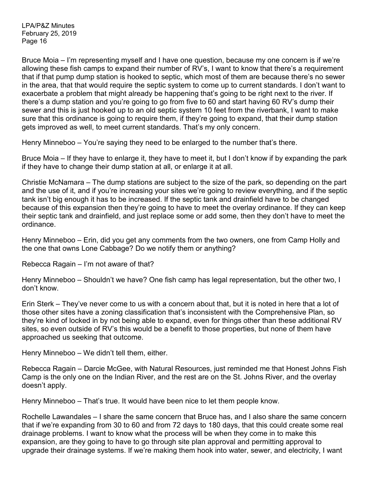Bruce Moia – I'm representing myself and I have one question, because my one concern is if we're allowing these fish camps to expand their number of RV's, I want to know that there's a requirement that if that pump dump station is hooked to septic, which most of them are because there's no sewer in the area, that that would require the septic system to come up to current standards. I don't want to exacerbate a problem that might already be happening that's going to be right next to the river. If there's a dump station and you're going to go from five to 60 and start having 60 RV's dump their sewer and this is just hooked up to an old septic system 10 feet from the riverbank, I want to make sure that this ordinance is going to require them, if they're going to expand, that their dump station gets improved as well, to meet current standards. That's my only concern.

Henry Minneboo – You're saying they need to be enlarged to the number that's there.

Bruce Moia – If they have to enlarge it, they have to meet it, but I don't know if by expanding the park if they have to change their dump station at all, or enlarge it at all.

Christie McNamara – The dump stations are subject to the size of the park, so depending on the part and the use of it, and if you're increasing your sites we're going to review everything, and if the septic tank isn't big enough it has to be increased. If the septic tank and drainfield have to be changed because of this expansion then they're going to have to meet the overlay ordinance. If they can keep their septic tank and drainfield, and just replace some or add some, then they don't have to meet the ordinance.

Henry Minneboo – Erin, did you get any comments from the two owners, one from Camp Holly and the one that owns Lone Cabbage? Do we notify them or anything?

Rebecca Ragain – I'm not aware of that?

Henry Minneboo – Shouldn't we have? One fish camp has legal representation, but the other two, I don't know.

Erin Sterk – They've never come to us with a concern about that, but it is noted in here that a lot of those other sites have a zoning classification that's inconsistent with the Comprehensive Plan, so they're kind of locked in by not being able to expand, even for things other than these additional RV sites, so even outside of RV's this would be a benefit to those properties, but none of them have approached us seeking that outcome.

Henry Minneboo – We didn't tell them, either.

Rebecca Ragain – Darcie McGee, with Natural Resources, just reminded me that Honest Johns Fish Camp is the only one on the Indian River, and the rest are on the St. Johns River, and the overlay doesn't apply.

Henry Minneboo – That's true. It would have been nice to let them people know.

Rochelle Lawandales – I share the same concern that Bruce has, and I also share the same concern that if we're expanding from 30 to 60 and from 72 days to 180 days, that this could create some real drainage problems. I want to know what the process will be when they come in to make this expansion, are they going to have to go through site plan approval and permitting approval to upgrade their drainage systems. If we're making them hook into water, sewer, and electricity, I want